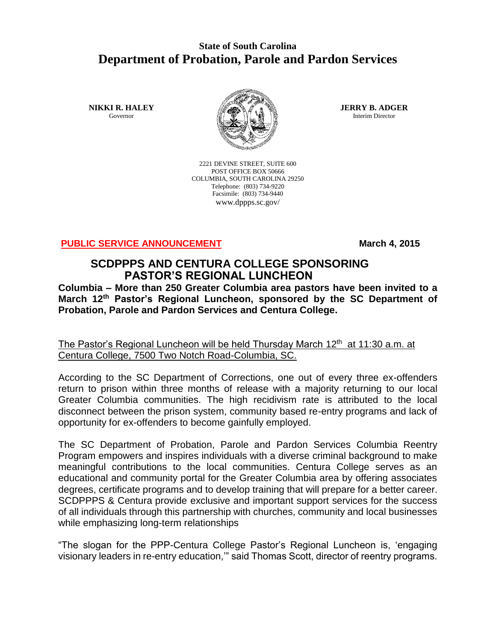## **State of South Carolina Department of Probation, Parole and Pardon Services**

**NIKKI R. HALEY** Governor



2221 DEVINE STREET, SUITE 600 POST OFFICE BOX 50666 COLUMBIA, SOUTH CAROLINA 29250 Telephone: (803) 734-9220 Facsimile: (803) 734-9440 www.dppps.sc.gov/

**JERRY B. ADGER** Interim Director

**PUBLIC SERVICE ANNOUNCEMENT March 4, 2015** 

## **SCDPPPS AND CENTURA COLLEGE SPONSORING PASTOR'S REGIONAL LUNCHEON**

**Columbia – More than 250 Greater Columbia area pastors have been invited to a March 12th Pastor's Regional Luncheon, sponsored by the SC Department of Probation, Parole and Pardon Services and Centura College.**

The Pastor's Regional Luncheon will be held Thursday March  $12<sup>th</sup>$  at 11:30 a.m. at Centura College, 7500 Two Notch Road-Columbia, SC.

According to the SC Department of Corrections, one out of every three ex-offenders return to prison within three months of release with a majority returning to our local Greater Columbia communities. The high recidivism rate is attributed to the local disconnect between the prison system, community based re-entry programs and lack of opportunity for ex-offenders to become gainfully employed.

The SC Department of Probation, Parole and Pardon Services Columbia Reentry Program empowers and inspires individuals with a diverse criminal background to make meaningful contributions to the local communities. Centura College serves as an educational and community portal for the Greater Columbia area by offering associates degrees, certificate programs and to develop training that will prepare for a better career. SCDPPPS & Centura provide exclusive and important support services for the success of all individuals through this partnership with churches, community and local businesses while emphasizing long-term relationships

"The slogan for the PPP-Centura College Pastor's Regional Luncheon is, 'engaging visionary leaders in re-entry education,'" said Thomas Scott, director of reentry programs.